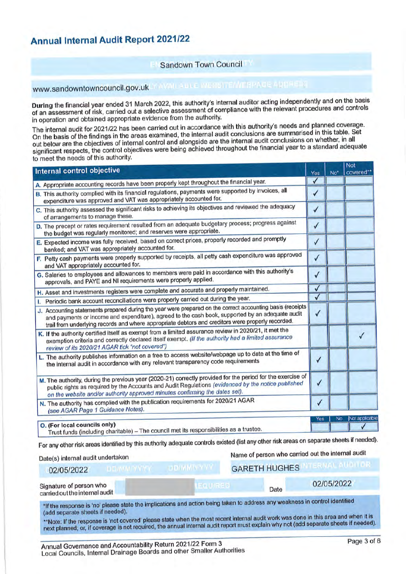# **Annual Internal Audit Report 2021/22**

# Sandown Town Council

www.sandowntowncouncil.gov.uk</a>AMAICADNE</a>EXAICADNEEMAGE</a>ADNEEMAGE</a>

During the financial year ended 31 March 2022, this authority's internal auditor acting independently and on the basis of an assessment of risk, carried out a selective assessment of compliance with the relevant procedures and controls in operation and obtained appropriate evidence from the authority.

The internal audit for 2021/22 has been carried out in accordance with this authority's needs and planned coverage. On the basis of the findings in the areas examined, the internal audit conclusions are summarised in this table. Set out below are the objectives of internal control and alongside are the internal audit conclusions on whether, in all significant respects, the control objectives were being achieved throughout the financial year to a standard adequate to meet the needs of this authority.

| Internal control objective                                                                                                                                                                                                                                                                                         | Yes          | No <sup>*</sup> | NOI<br>covered** |
|--------------------------------------------------------------------------------------------------------------------------------------------------------------------------------------------------------------------------------------------------------------------------------------------------------------------|--------------|-----------------|------------------|
| A. Appropriate accounting records have been properly kept throughout the financial year.                                                                                                                                                                                                                           | $\checkmark$ |                 |                  |
| B. This authority complied with its financial regulations, payments were supported by invoices, all<br>expenditure was approved and VAT was appropriately accounted for.                                                                                                                                           | √            |                 |                  |
| C. This authority assessed the significant risks to achieving its objectives and reviewed the adequacy<br>of arrangements to manage these.                                                                                                                                                                         | $\sqrt{2}$   |                 |                  |
| D. The precept or rates requirement resulted from an adequate budgetary process; progress against<br>the budget was regularly monitored; and reserves were appropriate.                                                                                                                                            | $\checkmark$ |                 |                  |
| E. Expected income was fully received, based on correct prices, properly recorded and promptly<br>banked; and VAT was appropriately accounted for.                                                                                                                                                                 | √            |                 |                  |
| F. Petty cash payments were properly supported by receipts, all petty cash expenditure was approved<br>and VAT appropriately accounted for.                                                                                                                                                                        | $\checkmark$ |                 |                  |
| G. Salaries to employees and allowances to members were paid in accordance with this authority's<br>approvals, and PAYE and NI requirements were properly applied.                                                                                                                                                 | $\checkmark$ |                 |                  |
| H. Asset and investments registers were complete and accurate and properly maintained.                                                                                                                                                                                                                             | $\checkmark$ |                 |                  |
| Periodic bank account reconciliations were properly carried out during the year.<br>I.                                                                                                                                                                                                                             | $\checkmark$ |                 |                  |
| J. Accounting statements prepared during the year were prepared on the correct accounting basis (receipts<br>and payments or income and expenditure), agreed to the cash book, supported by an adequate audit<br>trail from underlying records and where appropriate debtors and creditors were properly recorded. | √            |                 |                  |
| K. If the authority certified itself as exempt from a limited assurance review in 2020/21, it met the<br>exemption criteria and correctly declared itself exempt. (If the authority had a limited assurance<br>review of its 2020/21 AGAR tick "not covered")                                                      |              |                 |                  |
| L. The authority publishes information on a free to access website/webpage up to date at the time of<br>the internal audit in accordance with any relevant transparency code requirements                                                                                                                          | $\checkmark$ |                 |                  |
| M. The authority, during the previous year (2020-21) correctly provided for the period for the exercise of<br>public rights as required by the Accounts and Audit Regulations (evidenced by the notice published<br>on the website and/or authority approved minutes confirming the dates set).                    | $\checkmark$ |                 |                  |
| N. The authority has complied with the publication requirements for 2020/21 AGAR<br>(see AGAR Page 1 Guidance Notes).                                                                                                                                                                                              | ✓            |                 |                  |
|                                                                                                                                                                                                                                                                                                                    | Yes          | No              | Not applicable   |
| O. (For local councils only)<br>Trust funds (including charitable) - The council met its responsibilities as a trustee.                                                                                                                                                                                            |              |                 |                  |

#### Date(s) internal audit undertaken

| 02/05/2022                                                | <b>GARETH HUGHES</b> |  |  |  |
|-----------------------------------------------------------|----------------------|--|--|--|
| Signature of person who<br>carried out the internal audit | 02/05/2022<br>Date   |  |  |  |
|                                                           |                      |  |  |  |

\*If the response is 'no' please state the implications and action being taken to address any weakness in control identified (add separate sheets if needed).

\*\*Note: If the response is 'not covered' please state when the most recent internal audit work was done in this area and when it is next planned; or, if coverage is not required, the annual internal audit report must explain why not (add separate sheets if needed).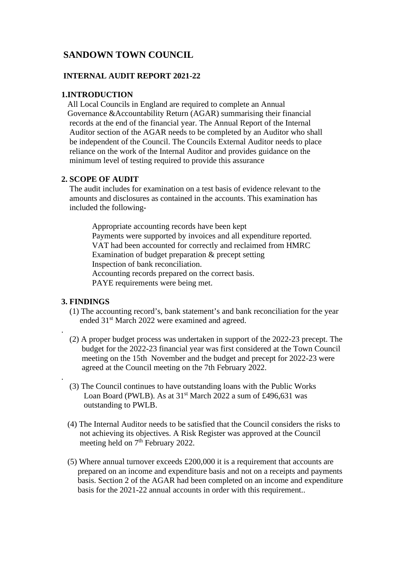# **SANDOWN TOWN COUNCIL**

## **INTERNAL AUDIT REPORT 2021-22**

## **1.INTRODUCTION**

All Local Councils in England are required to complete an Annual Governance &Accountability Return (AGAR) summarising their financial records at the end of the financial year. The Annual Report of the Internal Auditor section of the AGAR needs to be completed by an Auditor who shall be independent of the Council. The Councils External Auditor needs to place reliance on the work of the Internal Auditor and provides guidance on the minimum level of testing required to provide this assurance

# **2. SCOPE OF AUDIT**

 The audit includes for examination on a test basis of evidence relevant to the amounts and disclosures as contained in the accounts. This examination has included the following-

 Appropriate accounting records have been kept Payments were supported by invoices and all expenditure reported. VAT had been accounted for correctly and reclaimed from HMRC Examination of budget preparation & precept setting Inspection of bank reconciliation. Accounting records prepared on the correct basis. PAYE requirements were being met.

# **3. FINDINGS**

.

.

- (1) The accounting record's, bank statement's and bank reconciliation for the year ended 31st March 2022 were examined and agreed.
- (2) A proper budget process was undertaken in support of the 2022-23 precept. The budget for the 2022-23 financial year was first considered at the Town Council meeting on the 15th November and the budget and precept for 2022-23 were agreed at the Council meeting on the 7th February 2022.
- (3) The Council continues to have outstanding loans with the Public Works Loan Board (PWLB). As at  $31<sup>st</sup>$  March 2022 a sum of £496,631 was outstanding to PWLB.
- (4) The Internal Auditor needs to be satisfied that the Council considers the risks to not achieving its objectives. A Risk Register was approved at the Council meeting held on 7<sup>th</sup> February 2022.
- (5) Where annual turnover exceeds £200,000 it is a requirement that accounts are prepared on an income and expenditure basis and not on a receipts and payments basis. Section 2 of the AGAR had been completed on an income and expenditure basis for the 2021-22 annual accounts in order with this requirement..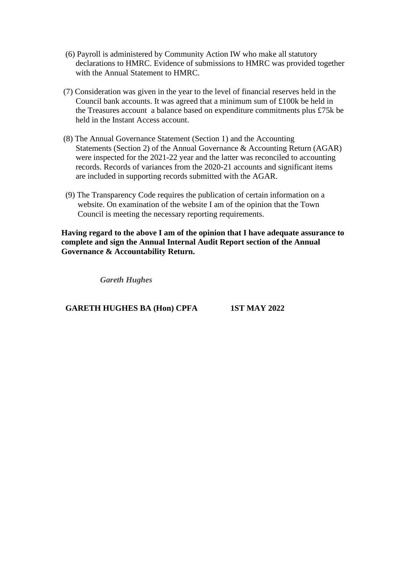- (6) Payroll is administered by Community Action IW who make all statutory declarations to HMRC. Evidence of submissions to HMRC was provided together with the Annual Statement to HMRC.
- (7) Consideration was given in the year to the level of financial reserves held in the Council bank accounts. It was agreed that a minimum sum of £100k be held in the Treasures account a balance based on expenditure commitments plus £75k be held in the Instant Access account.
- (8) The Annual Governance Statement (Section 1) and the Accounting Statements (Section 2) of the Annual Governance & Accounting Return (AGAR) were inspected for the 2021-22 year and the latter was reconciled to accounting records. Records of variances from the 2020-21 accounts and significant items are included in supporting records submitted with the AGAR.
- (9) The Transparency Code requires the publication of certain information on a website. On examination of the website I am of the opinion that the Town Council is meeting the necessary reporting requirements.

**Having regard to the above I am of the opinion that I have adequate assurance to complete and sign the Annual Internal Audit Report section of the Annual Governance & Accountability Return.**

*Gareth Hughes*

 **GARETH HUGHES BA (Hon) CPFA 1ST MAY 2022**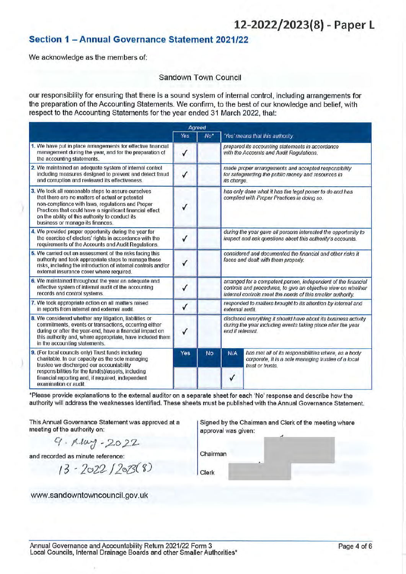# 12-2022/2023(8) - Paper L

# Section 1 - Annual Governance Statement 2021/22

We acknowledge as the members of:

### Sandown Town Council

our responsibility for ensuring that there is a sound system of internal control, including arrangements for the preparation of the Accounting Statements. We confirm, to the best of our knowledge and belief, with respect to the Accounting Statements for the year ended 31 March 2022, that:

|                                                                                                                                                                                                                                                                                                                |              | Agreed          |                                                                                                                                                                                               |                                                                                                                                 |  |
|----------------------------------------------------------------------------------------------------------------------------------------------------------------------------------------------------------------------------------------------------------------------------------------------------------------|--------------|-----------------|-----------------------------------------------------------------------------------------------------------------------------------------------------------------------------------------------|---------------------------------------------------------------------------------------------------------------------------------|--|
|                                                                                                                                                                                                                                                                                                                | Yes          | No <sup>*</sup> |                                                                                                                                                                                               | 'Yes' means that this authority:                                                                                                |  |
| 1. We have put in place arrangements for effective financial<br>management during the year, and for the preparation of<br>the accounting statements.                                                                                                                                                           | $\checkmark$ |                 |                                                                                                                                                                                               | prepared its accounting statements in accordance<br>with the Accounts and Audit Regulations.                                    |  |
| 2. We maintained an adequate system of internal control<br>including measures designed to prevent and detect fraud<br>and corruption and reviewed its effectiveness.                                                                                                                                           | $\checkmark$ |                 | its charge.                                                                                                                                                                                   | made proper arrangements and accepted responsibility<br>for safeguarding the public money and resources in                      |  |
| 3. We took all reasonable steps to assure ourselves<br>that there are no matters of actual or potential<br>non-compliance with laws, regulations and Proper<br>Practices that could have a significant financial effect<br>on the ability of this authority to conduct its<br>business or manage its finances. |              |                 | has only done what it has the legal power to do and has<br>complied with Proper Practices in doing so.                                                                                        |                                                                                                                                 |  |
| 4. We provided proper opportunity during the year for<br>the exercise of electors' rights in accordance with the<br>requirements of the Accounts and Audit Requlations.                                                                                                                                        | √            |                 |                                                                                                                                                                                               | during the year gave all persons interested the opportunity to<br>inspect and ask questions about this authority's accounts.    |  |
| 5. We carried out an assessment of the risks facing this<br>authority and took appropriate steps to manage those<br>risks, including the introduction of internal controls and/or<br>external insurance cover where required.                                                                                  | $\checkmark$ |                 | considered and documented the financial and other risks it<br>faces and dealt with them properly.                                                                                             |                                                                                                                                 |  |
| 6. We maintained throughout the year an adequate and<br>effective system of internal audit of the accounting<br>records and control systems.                                                                                                                                                                   |              |                 | arranged for a competent person, independent of the financial<br>controls and procedures, to give an objective view on whether<br>internal controls meet the needs of this smaller authority. |                                                                                                                                 |  |
| 7. We took appropriate action on all matters raised<br>in reports from internal and external audit.                                                                                                                                                                                                            | $\checkmark$ |                 | responded to matters brought to its attention by internal and<br>external audit.                                                                                                              |                                                                                                                                 |  |
| 8. We considered whether any litigation, liabilities or<br>commitments, events or transactions, occurring either<br>during or after the year-end, have a financial impact on<br>this authority and, where appropriate, have included them<br>in the accounting statements.                                     |              |                 | disclosed everything it should have about its business activity<br>during the year including events taking place after the year<br>end if relevant.                                           |                                                                                                                                 |  |
| 9. (For local councils only) Trust funds including<br>charitable. In our capacity as the sole managing<br>trustee we discharged our accountability                                                                                                                                                             | Yes          | <b>No</b>       | <b>N/A</b>                                                                                                                                                                                    | has met all of its responsibilities where, as a body<br>corporate, it is a sole managing trustee of a local<br>trust or trusts. |  |
| respons bilities for the fund(s)/assets, including<br>financial reporting and, if required, independent<br>examination or audit.                                                                                                                                                                               |              |                 |                                                                                                                                                                                               |                                                                                                                                 |  |

\*Please provide explanations to the external auditor on a separate sheet for each 'No' response and describe how the authority will address the weaknesses identified. These sheets must be published with the Annual Governance Statement.

This Annual Governance Statement was approved at a meeting of the authority on:

 $9.14 - 2022$ 

and recorded as minute reference:

 $13 - 2022 / 20288$ 

www.sandowntowncouncil.gov.uk

Signed by the Chairman and Clerk of the meeting where approval was given:

Chairman Clerk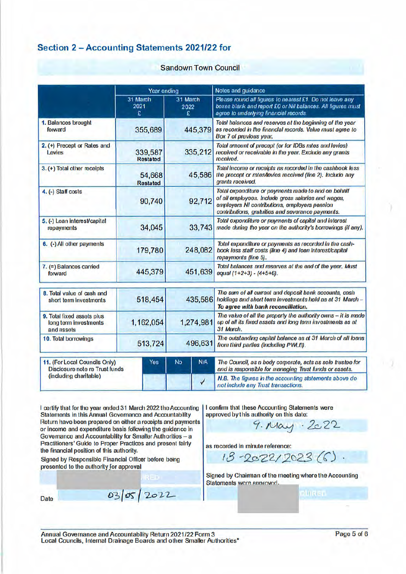# Section 2 - Accounting Statements 2021/22 for

#### Sandown Town Council

|                                                                   | Year ending                |                       | Notes and guidance                                                                                                                                                                                               |
|-------------------------------------------------------------------|----------------------------|-----------------------|------------------------------------------------------------------------------------------------------------------------------------------------------------------------------------------------------------------|
|                                                                   | 31 March<br>2021<br>£      | 31 March<br>2022<br>£ | Please round all figures to nearest £1. Do not leave any<br>boxes blank and report £0 or Nil balances. All figures must<br>agree to underlying financial records                                                 |
| 1. Balances brought<br>forward                                    | 355,689                    | 445,379               | Total balances and reserves at the beginning of the year<br>as recorded in the financial records. Value must agree to<br>Box 7 of previous year,                                                                 |
| 2. (+) Precept or Rates and<br>Levies                             | 339,587<br><b>Restated</b> | 335,212               | Total amount of precept (or for IDBs rates and levies)<br>received or receivable in the year. Exclude any grants<br>roceivod.                                                                                    |
| 3. (+) Total other receipts                                       | 54,668<br><b>Restated</b>  | 45,586                | Total income or receipts as recorded in the cashbook less<br>the procopt or rates/levios recoived (line 2), Include any<br>grants received.                                                                      |
| 4. (-) Staff costs                                                | 90,740                     | 92,712                | Total expenditure or payments made to and on behalf<br>of all employees. Include gross salaries and wages,<br>employers NI contributions, employers pension<br>contributions, gratuities and severance payments. |
| 5. (-) Loan interest/capital<br>repayments                        | 34,045                     | 33,743                | Total exponditure or payments of capital and interest<br>made during the year on the authority's borrowings (if any).                                                                                            |
| 6. (-) All other payments                                         | 179,780                    | 248,082               | Total expenditure or payments as recorded in the cash-<br>book less staff costs (line 4) and loan Interest/capital<br>ropaymonts (line 5).                                                                       |
| 7. (=) Balances carried<br>forward                                | 445,379                    | 451,639               | Total balances and reserves at the end of the year. Must<br>equal $(1+2+3) - (4+5+6)$ .                                                                                                                          |
| 8. Total value of cash and<br>short term Investments              | 518,454                    | 435,586               | The sum of all current and deposit bank accounts, cash<br>holdings and short term investments held as at 31 March -<br>To agree with bank reconciliation.                                                        |
| 9. Total fixed assets plus<br>long term investments<br>and assets | 1,162,054                  | 1,274,981             | The value of all the property the authority owns - it is made<br>up of all its fixed assets and long term investments as at<br>31 March.                                                                         |
| 10. Total borrowings                                              | 513,724                    | 496,631               | The outstanding capital balance as at 31 March of all loans<br>from third parties (Including PWLB).                                                                                                              |
| 11. (For Local Councils Only)<br>Disclosure note re Trust funds   | Yes                        | N/A<br><b>No</b>      | The Council, as a body corporate, acts as sole trustee for<br>and is responsible for managing Trust funds or assets.                                                                                             |
| (including charitable)                                            |                            | ✓                     | N.B. The figures in the accounting statements above do<br>not include any Trust transactions.                                                                                                                    |

I certify that for the year ended 31 March 2022 the Accounting Statements in this Annual Governance and Accountability Return have been prepared on either a receipts and payments or income and expenditure basis following the guidance in Governance and Accountability for Smaller Authorities - a Practitioners' Guide to Proper Practices and present fairly the financial position of this authority.

Signed by Responsible Financial Officer before being prosented to the authority for approval

Date

I confirm that these Accounting Statements were approved by this authority on this date:

9. May . 2022

as recorded in minute reference:

 $18 - 2022/2023(6)$ .

Signed by Chairman of the meeting where the Accounting Statements were approved.

**AURES** 

Annual Governance and Accountability Return 2021/22 Form 3 Local Councils, Internal Drainage Boards and other Smaller Authorities\*

03/05/2022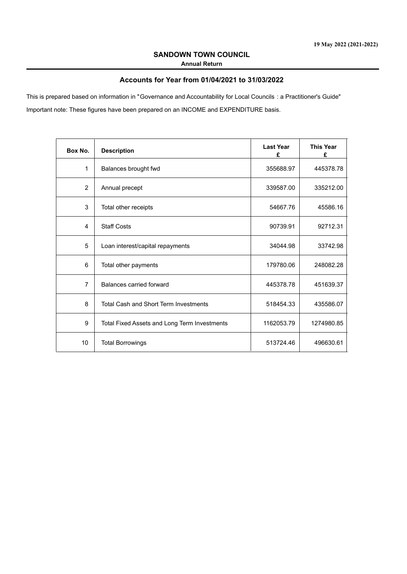#### **SANDOWN TOWN COUNCIL Annual Return**

## **Accounts for Year from 01/04/2021 to 31/03/2022**

Important note: These figures have been prepared on an INCOME and EXPENDITURE basis. This is prepared based on information in "Governance and Accountability for Local Councils : a Practitioner's Guide"

| Box No.        | <b>Description</b>                           | <b>Last Year</b><br>£ | <b>This Year</b><br>£ |
|----------------|----------------------------------------------|-----------------------|-----------------------|
| $\mathbf{1}$   | Balances brought fwd                         | 355688.97             | 445378.78             |
| $\overline{2}$ | Annual precept                               | 339587.00             | 335212.00             |
| 3              | Total other receipts                         | 54667.76              | 45586.16              |
| 4              | <b>Staff Costs</b>                           | 90739.91              | 92712.31              |
| 5              | Loan interest/capital repayments             | 34044.98              | 33742.98              |
| 6              | Total other payments                         | 179780.06             | 248082.28             |
| $\overline{7}$ | Balances carried forward                     | 445378.78             | 451639.37             |
| 8              | <b>Total Cash and Short Term Investments</b> | 518454.33             | 435586.07             |
| 9              | Total Fixed Assets and Long Term Investments | 1162053.79            | 1274980.85            |
| 10             | <b>Total Borrowings</b>                      | 513724.46             | 496630.61             |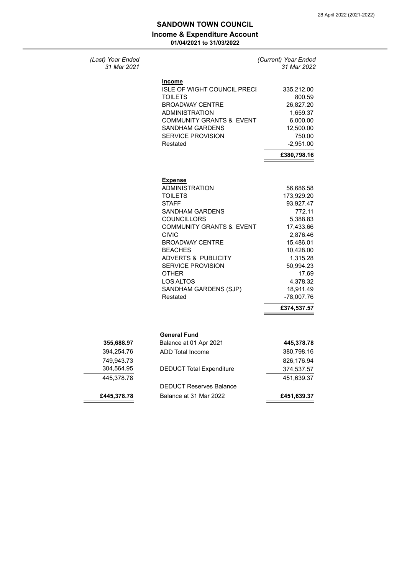*(Last) Year Ended (Current) Year Ended*

# **Income & Expenditure Account SANDOWN TOWN COUNCIL**

**01/04/2021 to 31/03/2022**

| (Last) Year Ended |
|-------------------|
| 31 Mar 2021       |

| 31 Mar 2021                            |                                                                                                                                                                                                                                                                                                                                                                     | 31 Mar 2022                                                                                                                                                                                           |
|----------------------------------------|---------------------------------------------------------------------------------------------------------------------------------------------------------------------------------------------------------------------------------------------------------------------------------------------------------------------------------------------------------------------|-------------------------------------------------------------------------------------------------------------------------------------------------------------------------------------------------------|
|                                        | <b>Income</b><br><b>ISLE OF WIGHT COUNCIL PRECI</b><br><b>TOILETS</b><br><b>BROADWAY CENTRE</b><br><b>ADMINISTRATION</b><br><b>COMMUNITY GRANTS &amp; EVENT</b><br><b>SANDHAM GARDENS</b><br><b>SERVICE PROVISION</b><br>Restated                                                                                                                                   | 335,212.00<br>800.59<br>26,827.20<br>1,659.37<br>6,000.00<br>12,500.00<br>750.00<br>$-2,951.00$<br>£380,798.16                                                                                        |
|                                        | <b>Expense</b><br><b>ADMINISTRATION</b><br><b>TOILETS</b><br><b>STAFF</b><br><b>SANDHAM GARDENS</b><br><b>COUNCILLORS</b><br><b>COMMUNITY GRANTS &amp; EVENT</b><br><b>CIVIC</b><br><b>BROADWAY CENTRE</b><br><b>BEACHES</b><br><b>ADVERTS &amp; PUBLICITY</b><br><b>SERVICE PROVISION</b><br><b>OTHER</b><br><b>LOS ALTOS</b><br>SANDHAM GARDENS (SJP)<br>Restated | 56,686.58<br>173,929.20<br>93,927.47<br>772.11<br>5,388.83<br>17,433.66<br>2,876.46<br>15,486.01<br>10,428.00<br>1,315.28<br>50,994.23<br>17.69<br>4,378.32<br>18,911.49<br>-78,007.76<br>£374,537.57 |
| 355,688.97<br>394,254.76<br>749,943.73 | <b>General Fund</b><br>Balance at 01 Apr 2021<br><b>ADD Total Income</b>                                                                                                                                                                                                                                                                                            | 445,378.78<br>380,798.16<br>826,176.94                                                                                                                                                                |
| 304,564.95<br>445,378.78               | <b>DEDUCT Total Expenditure</b>                                                                                                                                                                                                                                                                                                                                     | 374,537.57<br>451,639.37                                                                                                                                                                              |
|                                        | <b>DEDUCT Reserves Balance</b>                                                                                                                                                                                                                                                                                                                                      |                                                                                                                                                                                                       |
| £445.378.78                            | Balance at 31 Mar 2022                                                                                                                                                                                                                                                                                                                                              | £451,639.37                                                                                                                                                                                           |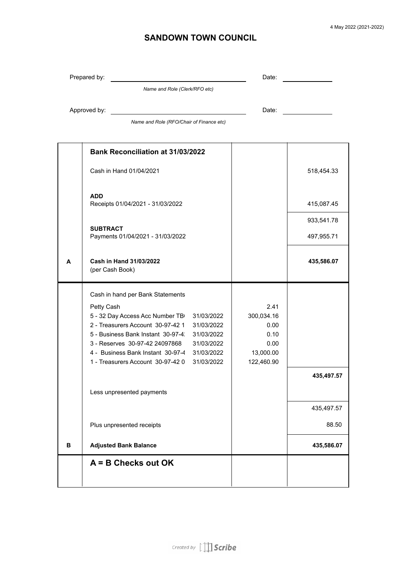# **SANDOWN TOWN COUNCIL**

|   | Prepared by:                                                                                                                                                                                                                                                                                                                                                                             | Date:                                                                 |                          |
|---|------------------------------------------------------------------------------------------------------------------------------------------------------------------------------------------------------------------------------------------------------------------------------------------------------------------------------------------------------------------------------------------|-----------------------------------------------------------------------|--------------------------|
|   | Name and Role (Clerk/RFO etc)                                                                                                                                                                                                                                                                                                                                                            |                                                                       |                          |
|   | Approved by:                                                                                                                                                                                                                                                                                                                                                                             | Date:                                                                 |                          |
|   | Name and Role (RFO/Chair of Finance etc)                                                                                                                                                                                                                                                                                                                                                 |                                                                       |                          |
|   | <b>Bank Reconciliation at 31/03/2022</b>                                                                                                                                                                                                                                                                                                                                                 |                                                                       |                          |
|   | Cash in Hand 01/04/2021                                                                                                                                                                                                                                                                                                                                                                  |                                                                       | 518,454.33               |
|   | <b>ADD</b><br>Receipts 01/04/2021 - 31/03/2022                                                                                                                                                                                                                                                                                                                                           |                                                                       | 415,087.45               |
|   | <b>SUBTRACT</b>                                                                                                                                                                                                                                                                                                                                                                          |                                                                       | 933,541.78               |
|   | Payments 01/04/2021 - 31/03/2022                                                                                                                                                                                                                                                                                                                                                         |                                                                       | 497,955.71               |
| A | Cash in Hand 31/03/2022<br>(per Cash Book)                                                                                                                                                                                                                                                                                                                                               |                                                                       | 435,586.07               |
|   | Cash in hand per Bank Statements<br>Petty Cash<br>5 - 32 Day Access Acc Number TB<br>31/03/2022<br>2 - Treasurers Account 30-97-42 1<br>31/03/2022<br>5 - Business Bank Instant 30-97-4<br>31/03/2022<br>3 - Reserves 30-97-42 24097868<br>31/03/2022<br>4 - Business Bank Instant 30-97-4<br>31/03/2022<br>1 - Treasurers Account 30-97-42 0<br>31/03/2022<br>Less unpresented payments | 2.41<br>300,034.16<br>0.00<br>0.10<br>0.00<br>13,000.00<br>122,460.90 | 435,497.57<br>435,497.57 |
|   | Plus unpresented receipts                                                                                                                                                                                                                                                                                                                                                                |                                                                       | 88.50                    |
| В | <b>Adjusted Bank Balance</b>                                                                                                                                                                                                                                                                                                                                                             |                                                                       | 435,586.07               |
|   | $A = B$ Checks out OK                                                                                                                                                                                                                                                                                                                                                                    |                                                                       |                          |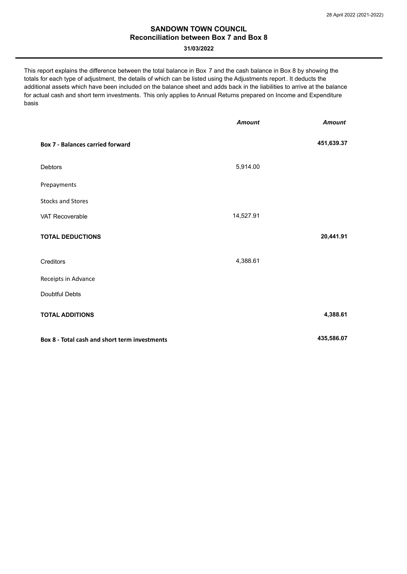## **Reconciliation between Box 7 and Box 8 SANDOWN TOWN COUNCIL**

#### **31/03/2022**

This report explains the difference between the total balance in Box 7 and the cash balance in Box 8 by showing the totals for each type of adjustment, the details of which can be listed using the Adjustments report. It deducts the additional assets which have been included on the balance sheet and adds back in the liabilities to arrive at the balance for actual cash and short term investments. This only applies to Annual Returns prepared on Income and Expenditure basis

|                                               | <b>Amount</b> | <b>Amount</b> |
|-----------------------------------------------|---------------|---------------|
| <b>Box 7 - Balances carried forward</b>       |               | 451,639.37    |
| Debtors                                       | 5,914.00      |               |
| Prepayments                                   |               |               |
| <b>Stocks and Stores</b>                      |               |               |
| VAT Recoverable                               | 14,527.91     |               |
| <b>TOTAL DEDUCTIONS</b>                       |               | 20,441.91     |
| Creditors                                     | 4,388.61      |               |
| Receipts in Advance                           |               |               |
| Doubtful Debts                                |               |               |
| <b>TOTAL ADDITIONS</b>                        |               | 4,388.61      |
| Box 8 - Total cash and short term investments |               | 435,586.07    |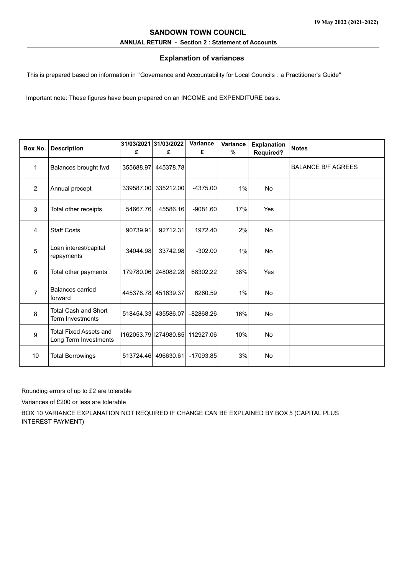## **ANNUAL RETURN - Section 2 : Statement of Accounts SANDOWN TOWN COUNCIL**

## **Explanation of variances**

This is prepared based on information in "Governance and Accountability for Local Councils : a Practitioner's Guide"

Important note: These figures have been prepared on an INCOME and EXPENDITURE basis.

| Box No.        | <b>Description</b>                                     | £         | 31/03/2021 31/03/2022<br>£ | Variance<br>£ | Variance<br>$\%$ | <b>Explanation</b><br><b>Required?</b> | <b>Notes</b>              |
|----------------|--------------------------------------------------------|-----------|----------------------------|---------------|------------------|----------------------------------------|---------------------------|
| $\mathbf{1}$   | Balances brought fwd                                   | 355688.97 | 445378.78                  |               |                  |                                        | <b>BALANCE B/F AGREES</b> |
| $\overline{2}$ | Annual precept                                         | 339587.00 | 335212.00                  | $-4375.00$    | 1%               | <b>No</b>                              |                           |
| $\mathbf{3}$   | Total other receipts                                   | 54667.76  | 45586.16                   | $-9081.60$    | 17%              | Yes                                    |                           |
| 4              | <b>Staff Costs</b>                                     | 90739.91  | 92712.31                   | 1972.40       | 2%               | <b>No</b>                              |                           |
| 5              | Loan interest/capital<br>repayments                    | 34044.98  | 33742.98                   | $-302.00$     | 1%               | <b>No</b>                              |                           |
| 6              | Total other payments                                   | 179780.06 | 248082.28                  | 68302.22      | 38%              | Yes                                    |                           |
| $\overline{7}$ | Balances carried<br>forward                            | 445378.78 | 451639.37                  | 6260.59       | 1%               | <b>No</b>                              |                           |
| 8              | <b>Total Cash and Short</b><br><b>Term Investments</b> | 518454.33 | 435586.07                  | $-82868.26$   | 16%              | <b>No</b>                              |                           |
| 9              | <b>Total Fixed Assets and</b><br>Long Term Investments |           | 1162053.79 1274980.85      | 112927.06     | 10%              | <b>No</b>                              |                           |
| 10             | <b>Total Borrowings</b>                                | 513724.46 | 496630.61                  | $-17093.85$   | 3%               | <b>No</b>                              |                           |

Rounding errors of up to £2 are tolerable

Variances of £200 or less are tolerable

BOX 10 VARIANCE EXPLANATION NOT REQUIRED IF CHANGE CAN BE EXPLAINED BY BOX 5 (CAPITAL PLUS INTEREST PAYMENT)